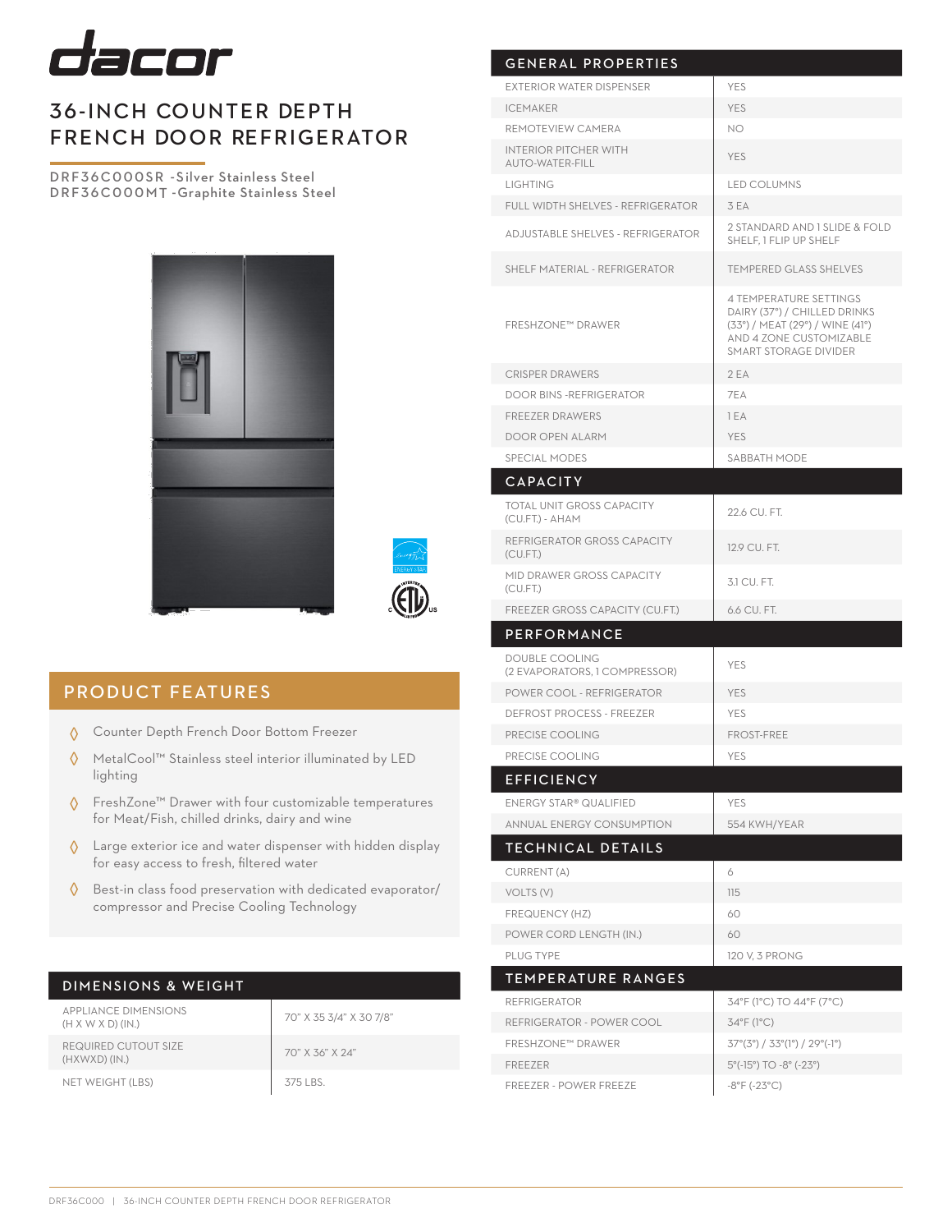

## 36-INCH COUNTER DEPTH FRENCH DOOR REFRIGERATOR

DRF36C000SR -Silver Stainless Steel DRF36C000MT -Graphite Stainless Steel





## PRODUCT FEATURES

- Counter Depth French Door Bottom Freezer ◊
- MetalCool™ Stainless steel interior illuminated by LED lighting ◊
- FreshZone™ Drawer with four customizable temperatures for Meat/Fish, chilled drinks, dairy and wine ◊
- Large exterior ice and water dispenser with hidden display for easy access to fresh, filtered water ◊
- ♦ Best-in class food preservation with dedicated evaporator/ compressor and Precise Cooling Technology

| <b>DIMENSIONS &amp; WEIGHT</b>                               |                         |
|--------------------------------------------------------------|-------------------------|
| <b>APPLIANCE DIMENSIONS</b><br>$(H \times W \times D)$ (IN.) | 70" X 35 3/4" X 30 7/8" |
| REQUIRED CUTOUT SIZE                                         | $70" V 71" V 04"$       |

NET WEIGHT (LBS)

 $(HXWXD) (IN.)$ 

| 70" X 35 3/4" X 30 |
|--------------------|
| 70" X 36" X 24"    |
| 375 LBS.           |

| <b>GENERAL PROPERTIES</b>                             |                                                                                                                                                             |
|-------------------------------------------------------|-------------------------------------------------------------------------------------------------------------------------------------------------------------|
| <b>EXTERIOR WATER DISPENSER</b>                       | <b>YES</b>                                                                                                                                                  |
| <b>ICEMAKER</b>                                       | <b>YES</b>                                                                                                                                                  |
| REMOTEVIEW CAMERA                                     | NO.                                                                                                                                                         |
| <b>INTERIOR PITCHER WITH</b><br>AUTO-WATER-FILL       | <b>YES</b>                                                                                                                                                  |
| <b>LIGHTING</b>                                       | <b>LED COLUMNS</b>                                                                                                                                          |
| <b>FULL WIDTH SHELVES - REFRIGERATOR</b>              | 3 EA                                                                                                                                                        |
| ADJUSTABLE SHELVES - REFRIGERATOR                     | 2 STANDARD AND 1 SLIDE & FOLD<br>SHELF. 1 FLIP UP SHELF                                                                                                     |
| SHELF MATERIAL - REFRIGERATOR                         | <b>TEMPERED GLASS SHELVES</b>                                                                                                                               |
| <b>FRESHZONE™ DRAWER</b>                              | <b>4 TEMPERATURE SETTINGS</b><br>DAIRY (37°) / CHILLED DRINKS<br>(33°) / MEAT (29°) / WINE (41°)<br>AND 4 ZONE CUSTOMIZABLE<br><b>SMART STORAGE DIVIDER</b> |
| <b>CRISPER DRAWERS</b>                                | 2EA                                                                                                                                                         |
| <b>DOOR BINS - REFRIGERATOR</b>                       | 7EA                                                                                                                                                         |
| <b>FREEZER DRAWERS</b>                                | 1 EA                                                                                                                                                        |
| <b>DOOR OPEN ALARM</b>                                | <b>YES</b>                                                                                                                                                  |
| SPECIAL MODES                                         | SABBATH MODE                                                                                                                                                |
| <b>CAPACITY</b>                                       |                                                                                                                                                             |
| <b>TOTAL UNIT GROSS CAPACITY</b><br>(CU.FT.) - AHAM   | 22.6 CU. FT.                                                                                                                                                |
| REFRIGERATOR GROSS CAPACITY<br>(CU.FT.)               | 12.9 CU. FT.                                                                                                                                                |
| MID DRAWER GROSS CAPACITY<br>(CU.FT.)                 | 3.1 CU, FT.                                                                                                                                                 |
| FREEZER GROSS CAPACITY (CU.FT.)                       | 6.6 CU. FT.                                                                                                                                                 |
| PERFORMANCE                                           |                                                                                                                                                             |
| DOUBLE COOLING<br>(2 EVAPORATORS, 1 COMPRESSOR)       | YES                                                                                                                                                         |
| POWER COOL - REFRIGERATOR                             | <b>YES</b>                                                                                                                                                  |
| <b>DEFROST PROCESS - FREEZER</b>                      | <b>YES</b>                                                                                                                                                  |
| PRECISE COOLING                                       | <b>FROST-FREE</b>                                                                                                                                           |
| PRECISE COOLING                                       | <b>YES</b>                                                                                                                                                  |
| <b>EFFICIENCY</b>                                     |                                                                                                                                                             |
| <b>ENERGY STAR® QUALIFIED</b>                         | YES                                                                                                                                                         |
| <b>ANNUAL ENERGY CONSUMPTION</b>                      | 554 KWH/YEAR                                                                                                                                                |
| TECHNICAL DETAILS                                     |                                                                                                                                                             |
| CURRENT (A)                                           | 6                                                                                                                                                           |
| VOLTS (V)                                             | 115                                                                                                                                                         |
| FREQUENCY (HZ)                                        | 60                                                                                                                                                          |
| POWER CORD LENGTH (IN.)                               | 60                                                                                                                                                          |
| PLUG TYPE                                             | 120 V, 3 PRONG                                                                                                                                              |
| <b>TEMPERATURE RANGES</b>                             |                                                                                                                                                             |
|                                                       |                                                                                                                                                             |
| <b>REFRIGERATOR</b>                                   | 34°F (1°C) TO 44°F (7°C)                                                                                                                                    |
| REFRIGERATOR - POWER COOL<br><b>FRESHZONE™ DRAWER</b> | 34°F (1°C)<br>$37^{\circ}(3^{\circ}) / 33^{\circ}(1^{\circ}) / 29^{\circ}(-1^{\circ})$                                                                      |
| <b>FREEZER</b>                                        | 5°(-15°) TO -8° (-23°)                                                                                                                                      |
| <b>FREEZER - POWER FREEZE</b>                         | $-8^{\circ}$ F ( $-23^{\circ}$ C)                                                                                                                           |
|                                                       |                                                                                                                                                             |